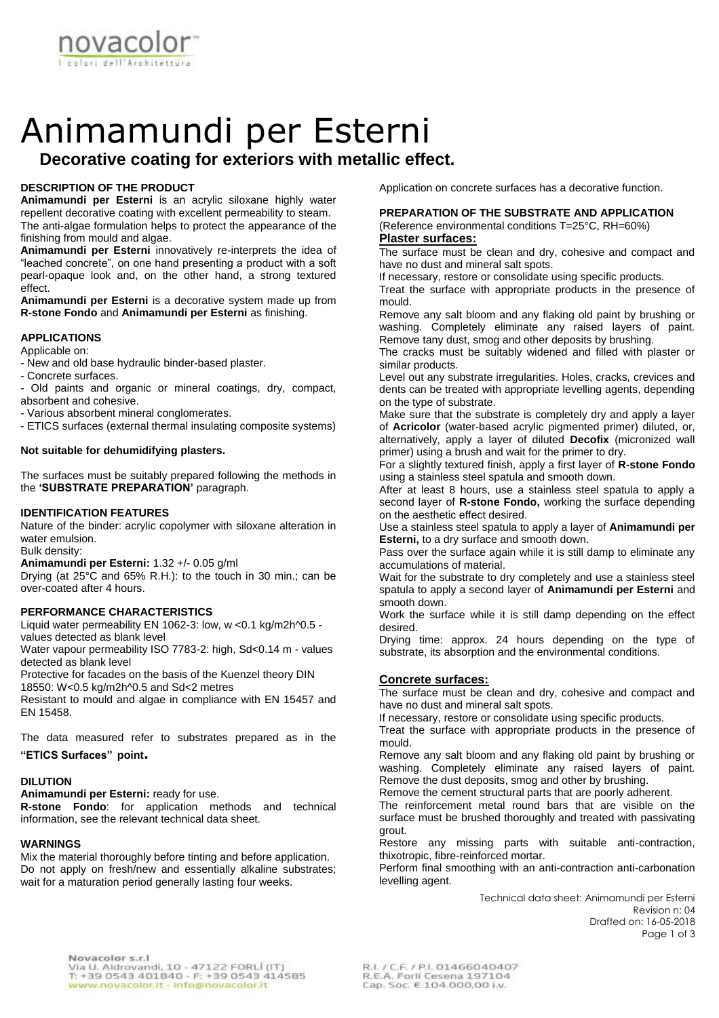

# Animamundi per Esterni

# **Decorative coating for exteriors with metallic effect.**

# **DESCRIPTION OF THE PRODUCT**

**Animamundi per Esterni** is an acrylic siloxane highly water repellent decorative coating with excellent permeability to steam. The anti-algae formulation helps to protect the appearance of the finishing from mould and algae.

**Animamundi per Esterni** innovatively re-interprets the idea of "leached concrete", on one hand presenting a product with a soft pearl-opaque look and, on the other hand, a strong textured effect.

**Animamundi per Esterni** is a decorative system made up from **R-stone Fondo** and **Animamundi per Esterni** as finishing.

# **APPLICATIONS**

Applicable on:

- New and old base hydraulic binder-based plaster.
- Concrete surfaces.
- Old paints and organic or mineral coatings, dry, compact, absorbent and cohesive.
- Various absorbent mineral conglomerates.
- ETICS surfaces (external thermal insulating composite systems)

# **Not suitable for dehumidifying plasters.**

The surfaces must be suitably prepared following the methods in the **'SUBSTRATE PREPARATION'** paragraph.

# **IDENTIFICATION FEATURES**

Nature of the binder: acrylic copolymer with siloxane alteration in water emulsion.

Bulk density:

**Animamundi per Esterni:** 1.32 +/- 0.05 g/ml

Drying (at 25°C and 65% R.H.): to the touch in 30 min.; can be over-coated after 4 hours.

# **PERFORMANCE CHARACTERISTICS**

Liquid water permeability EN 1062-3: low, w <0.1 kg/m2h^0.5 values detected as blank level

Water vapour permeability ISO 7783-2: high, Sd<0.14 m - values detected as blank level

Protective for facades on the basis of the Kuenzel theory DIN

18550: W<0.5 kg/m2h^0.5 and Sd<2 metres

Resistant to mould and algae in compliance with EN 15457 and EN 15458.

The data measured refer to substrates prepared as in the **"ETICS Surfaces" point.**

#### **DILUTION**

**Animamundi per Esterni:** ready for use. **R-stone Fondo**: for application methods and technical information, see the relevant technical data sheet.

# **WARNINGS**

Mix the material thoroughly before tinting and before application. Do not apply on fresh/new and essentially alkaline substrates: wait for a maturation period generally lasting four weeks.

Application on concrete surfaces has a decorative function.

# **PREPARATION OF THE SUBSTRATE AND APPLICATION** (Reference environmental conditions T=25°C, RH=60%) **Plaster surfaces:**

The surface must be clean and dry, cohesive and compact and have no dust and mineral salt spots.

If necessary, restore or consolidate using specific products.

Treat the surface with appropriate products in the presence of mould.

Remove any salt bloom and any flaking old paint by brushing or washing. Completely eliminate any raised layers of paint. Remove tany dust, smog and other deposits by brushing.

The cracks must be suitably widened and filled with plaster or similar products.

Level out any substrate irregularities. Holes, cracks, crevices and dents can be treated with appropriate levelling agents, depending on the type of substrate.

Make sure that the substrate is completely dry and apply a layer of **Acricolor** (water-based acrylic pigmented primer) diluted, or, alternatively, apply a layer of diluted **Decofix** (micronized wall primer) using a brush and wait for the primer to dry.

For a slightly textured finish, apply a first layer of **R-stone Fondo** using a stainless steel spatula and smooth down.

After at least 8 hours, use a stainless steel spatula to apply a second layer of **R-stone Fondo,** working the surface depending on the aesthetic effect desired.

Use a stainless steel spatula to apply a layer of **Animamundi per Esterni,** to a dry surface and smooth down.

Pass over the surface again while it is still damp to eliminate any accumulations of material.

Wait for the substrate to dry completely and use a stainless steel spatula to apply a second layer of **Animamundi per Esterni** and smooth down.

Work the surface while it is still damp depending on the effect desired.

Drying time: approx. 24 hours depending on the type of substrate, its absorption and the environmental conditions.

# **Concrete surfaces:**

The surface must be clean and dry, cohesive and compact and have no dust and mineral salt spots.

If necessary, restore or consolidate using specific products.

Treat the surface with appropriate products in the presence of mould.

Remove any salt bloom and any flaking old paint by brushing or washing. Completely eliminate any raised layers of paint. Remove the dust deposits, smog and other by brushing.

Remove the cement structural parts that are poorly adherent.

The reinforcement metal round bars that are visible on the surface must be brushed thoroughly and treated with passivating grout.

Restore any missing parts with suitable anti-contraction, thixotropic, fibre-reinforced mortar.

Perform final smoothing with an anti-contraction anti-carbonation levelling agent.

> Technical data sheet: Animamundi per Esterni Revision n: 04 Drafted on: 16-05-2018 Page 1 of 3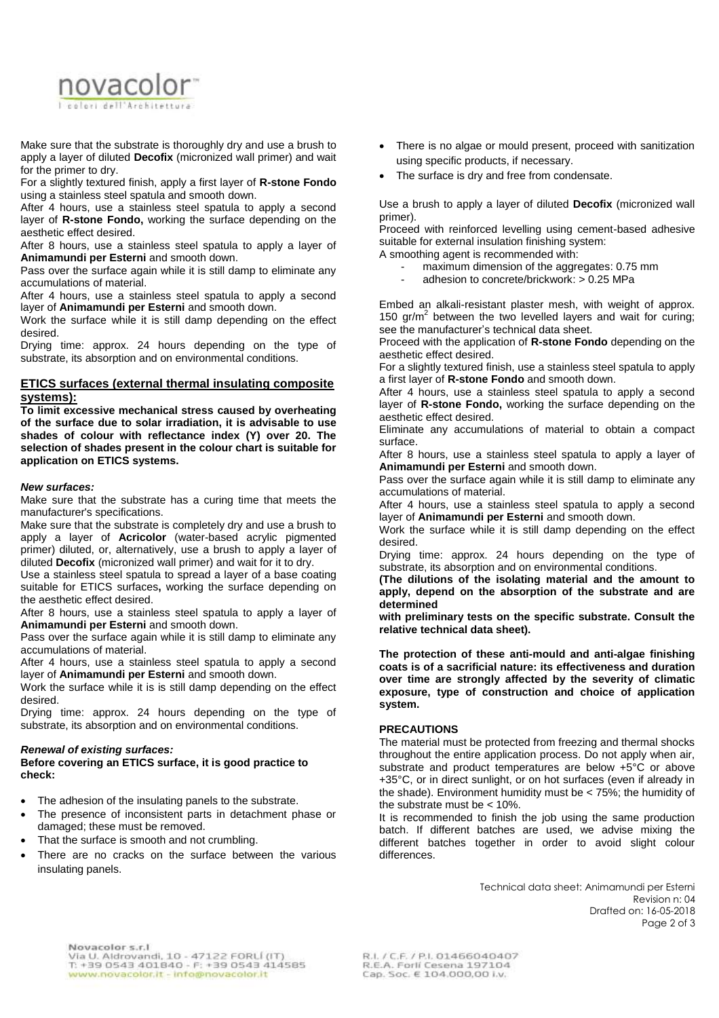

Make sure that the substrate is thoroughly dry and use a brush to apply a layer of diluted **Decofix** (micronized wall primer) and wait for the primer to dry.

For a slightly textured finish, apply a first layer of **R-stone Fondo** using a stainless steel spatula and smooth down.

After 4 hours, use a stainless steel spatula to apply a second layer of **R-stone Fondo,** working the surface depending on the aesthetic effect desired.

After 8 hours, use a stainless steel spatula to apply a layer of **Animamundi per Esterni** and smooth down.

Pass over the surface again while it is still damp to eliminate any accumulations of material.

After 4 hours, use a stainless steel spatula to apply a second layer of **Animamundi per Esterni** and smooth down.

Work the surface while it is still damp depending on the effect desired.

Drying time: approx. 24 hours depending on the type of substrate, its absorption and on environmental conditions.

#### **ETICS surfaces (external thermal insulating composite systems):**

**To limit excessive mechanical stress caused by overheating of the surface due to solar irradiation, it is advisable to use shades of colour with reflectance index (Y) over 20. The selection of shades present in the colour chart is suitable for application on ETICS systems.**

#### *New surfaces:*

Make sure that the substrate has a curing time that meets the manufacturer's specifications.

Make sure that the substrate is completely dry and use a brush to apply a layer of **Acricolor** (water-based acrylic pigmented primer) diluted, or, alternatively, use a brush to apply a layer of diluted **Decofix** (micronized wall primer) and wait for it to dry.

Use a stainless steel spatula to spread a layer of a base coating suitable for ETICS surfaces**,** working the surface depending on the aesthetic effect desired.

After 8 hours, use a stainless steel spatula to apply a layer of **Animamundi per Esterni** and smooth down.

Pass over the surface again while it is still damp to eliminate any accumulations of material.

After 4 hours, use a stainless steel spatula to apply a second layer of **Animamundi per Esterni** and smooth down.

Work the surface while it is is still damp depending on the effect desired.

Drying time: approx. 24 hours depending on the type of substrate, its absorption and on environmental conditions.

#### *Renewal of existing surfaces:*

#### **Before covering an ETICS surface, it is good practice to check:**

- The adhesion of the insulating panels to the substrate.
- The presence of inconsistent parts in detachment phase or damaged; these must be removed.
- That the surface is smooth and not crumbling.
- There are no cracks on the surface between the various insulating panels.
- There is no algae or mould present, proceed with sanitization using specific products, if necessary.
- The surface is dry and free from condensate.

Use a brush to apply a layer of diluted **Decofix** (micronized wall primer).

Proceed with reinforced levelling using cement-based adhesive suitable for external insulation finishing system:

- A smoothing agent is recommended with:
	- maximum dimension of the aggregates: 0.75 mm
	- adhesion to concrete/brickwork: > 0.25 MPa

Embed an alkali-resistant plaster mesh, with weight of approx. 150  $gr/m^2$  between the two levelled layers and wait for curing; see the manufacturer's technical data sheet.

Proceed with the application of **R-stone Fondo** depending on the aesthetic effect desired.

For a slightly textured finish, use a stainless steel spatula to apply a first layer of **R-stone Fondo** and smooth down.

After 4 hours, use a stainless steel spatula to apply a second layer of **R-stone Fondo,** working the surface depending on the aesthetic effect desired.

Eliminate any accumulations of material to obtain a compact surface.

After 8 hours, use a stainless steel spatula to apply a layer of **Animamundi per Esterni** and smooth down.

Pass over the surface again while it is still damp to eliminate any accumulations of material.

After 4 hours, use a stainless steel spatula to apply a second layer of **Animamundi per Esterni** and smooth down.

Work the surface while it is still damp depending on the effect desired.

Drying time: approx. 24 hours depending on the type of substrate, its absorption and on environmental conditions.

**(The dilutions of the isolating material and the amount to apply, depend on the absorption of the substrate and are determined** 

**with preliminary tests on the specific substrate. Consult the relative technical data sheet).**

**The protection of these anti-mould and anti-algae finishing coats is of a sacrificial nature: its effectiveness and duration over time are strongly affected by the severity of climatic exposure, type of construction and choice of application system.**

#### **PRECAUTIONS**

The material must be protected from freezing and thermal shocks throughout the entire application process. Do not apply when air, substrate and product temperatures are below +5°C or above +35°C, or in direct sunlight, or on hot surfaces (even if already in the shade). Environment humidity must be < 75%; the humidity of the substrate must be < 10%.

It is recommended to finish the job using the same production batch. If different batches are used, we advise mixing the different batches together in order to avoid slight colour differences.

> Technical data sheet: Animamundi per Esterni Revision n: 04 Drafted on: 16-05-2018 Page 2 of 3